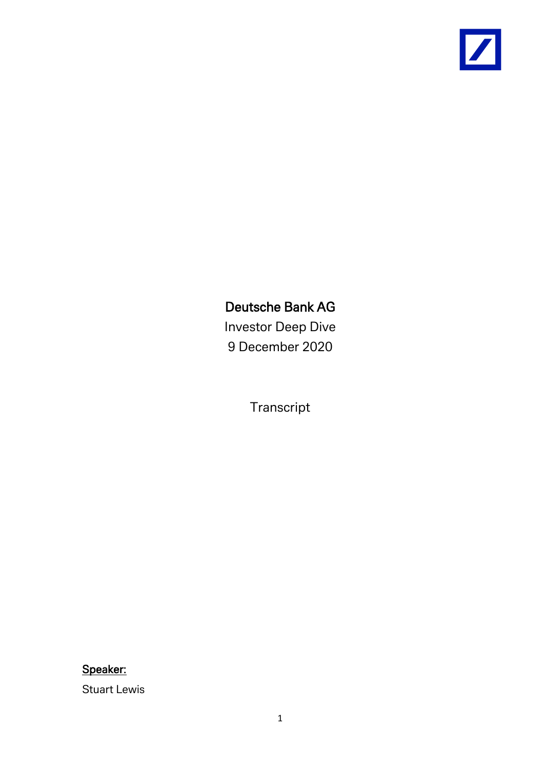

# Deutsche Bank AG

Investor Deep Dive 9 December 2020

Transcript

Speaker:

Stuart Lewis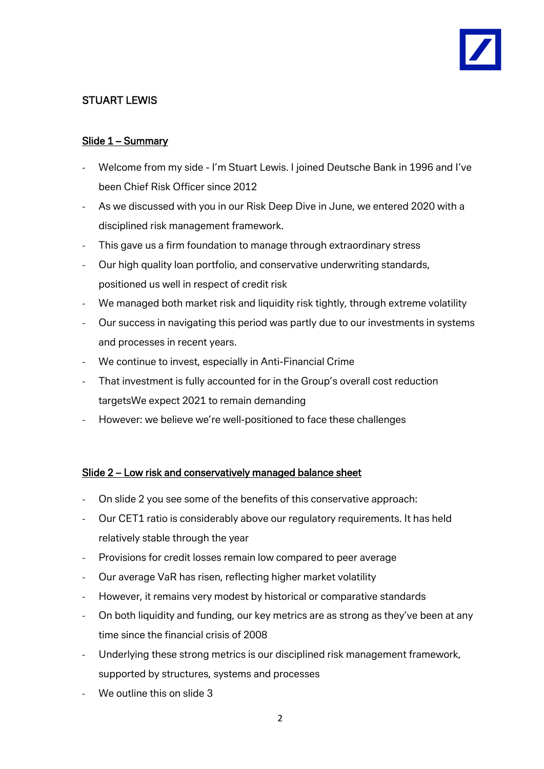## STUART LEWIS

### Slide 1 – Summary

- Welcome from my side I'm Stuart Lewis. I joined Deutsche Bank in 1996 and I've been Chief Risk Officer since 2012
- As we discussed with you in our Risk Deep Dive in June, we entered 2020 with a disciplined risk management framework.
- This gave us a firm foundation to manage through extraordinary stress
- Our high quality loan portfolio, and conservative underwriting standards, positioned us well in respect of credit risk
- We managed both market risk and liquidity risk tightly, through extreme volatility
- Our success in navigating this period was partly due to our investments in systems and processes in recent years.
- We continue to invest, especially in Anti-Financial Crime
- That investment is fully accounted for in the Group's overall cost reduction targetsWe expect 2021 to remain demanding
- However: we believe we're well-positioned to face these challenges

#### Slide 2 – Low risk and conservatively managed balance sheet

- On slide 2 you see some of the benefits of this conservative approach:
- Our CET1 ratio is considerably above our regulatory requirements. It has held relatively stable through the year
- Provisions for credit losses remain low compared to peer average
- Our average VaR has risen, reflecting higher market volatility
- However, it remains very modest by historical or comparative standards
- On both liquidity and funding, our key metrics are as strong as they've been at any time since the financial crisis of 2008
- Underlying these strong metrics is our disciplined risk management framework, supported by structures, systems and processes
- We outline this on slide 3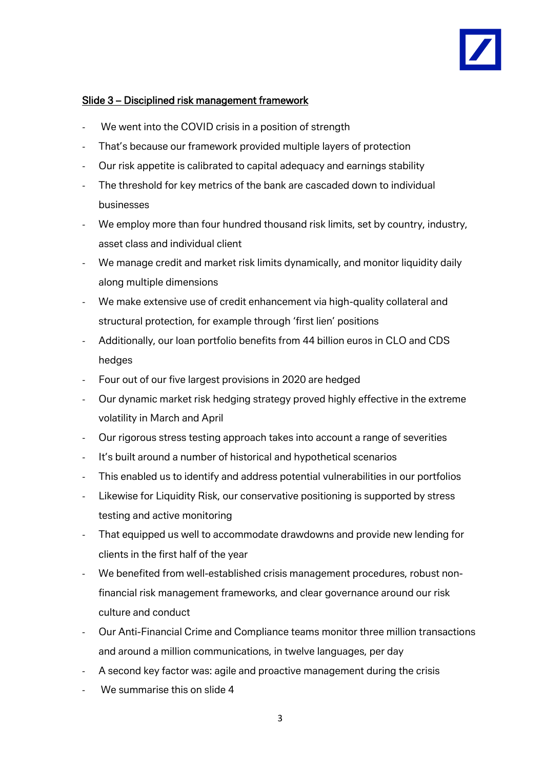#### Slide 3 – Disciplined risk management framework

- We went into the COVID crisis in a position of strength
- That's because our framework provided multiple layers of protection
- Our risk appetite is calibrated to capital adequacy and earnings stability
- The threshold for key metrics of the bank are cascaded down to individual businesses
- We employ more than four hundred thousand risk limits, set by country, industry, asset class and individual client
- We manage credit and market risk limits dynamically, and monitor liquidity daily along multiple dimensions
- We make extensive use of credit enhancement via high-quality collateral and structural protection, for example through 'first lien' positions
- Additionally, our loan portfolio benefits from 44 billion euros in CLO and CDS hedges
- Four out of our five largest provisions in 2020 are hedged
- Our dynamic market risk hedging strategy proved highly effective in the extreme volatility in March and April
- Our rigorous stress testing approach takes into account a range of severities
- It's built around a number of historical and hypothetical scenarios
- This enabled us to identify and address potential vulnerabilities in our portfolios
- Likewise for Liquidity Risk, our conservative positioning is supported by stress testing and active monitoring
- That equipped us well to accommodate drawdowns and provide new lending for clients in the first half of the year
- We benefited from well-established crisis management procedures, robust nonfinancial risk management frameworks, and clear governance around our risk culture and conduct
- Our Anti-Financial Crime and Compliance teams monitor three million transactions and around a million communications, in twelve languages, per day
- A second key factor was: agile and proactive management during the crisis
- We summarise this on slide 4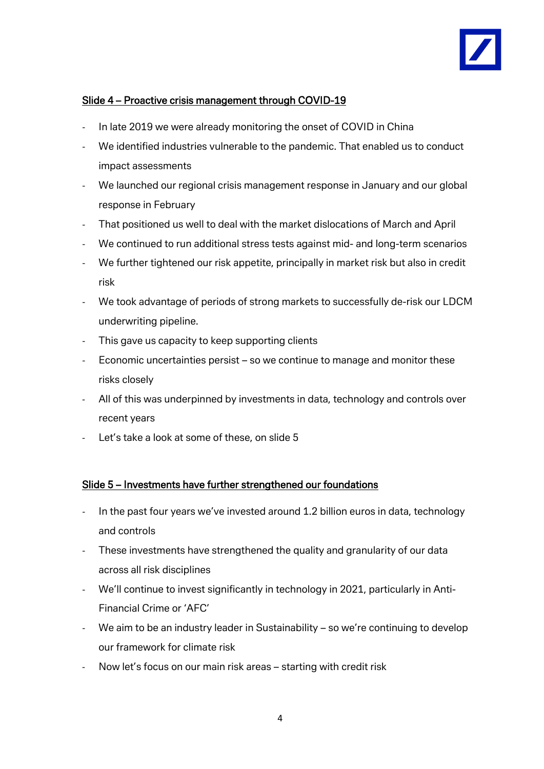

#### Slide 4 – Proactive crisis management through COVID-19

- In late 2019 we were already monitoring the onset of COVID in China
- We identified industries vulnerable to the pandemic. That enabled us to conduct impact assessments
- We launched our regional crisis management response in January and our global response in February
- That positioned us well to deal with the market dislocations of March and April
- We continued to run additional stress tests against mid- and long-term scenarios
- We further tightened our risk appetite, principally in market risk but also in credit risk
- We took advantage of periods of strong markets to successfully de-risk our LDCM underwriting pipeline.
- This gave us capacity to keep supporting clients
- Economic uncertainties persist so we continue to manage and monitor these risks closely
- All of this was underpinned by investments in data, technology and controls over recent years
- Let's take a look at some of these, on slide 5

#### Slide 5 – Investments have further strengthened our foundations

- In the past four years we've invested around 1.2 billion euros in data, technology and controls
- These investments have strengthened the quality and granularity of our data across all risk disciplines
- We'll continue to invest significantly in technology in 2021, particularly in Anti-Financial Crime or 'AFC'
- We aim to be an industry leader in Sustainability so we're continuing to develop our framework for climate risk
- Now let's focus on our main risk areas starting with credit risk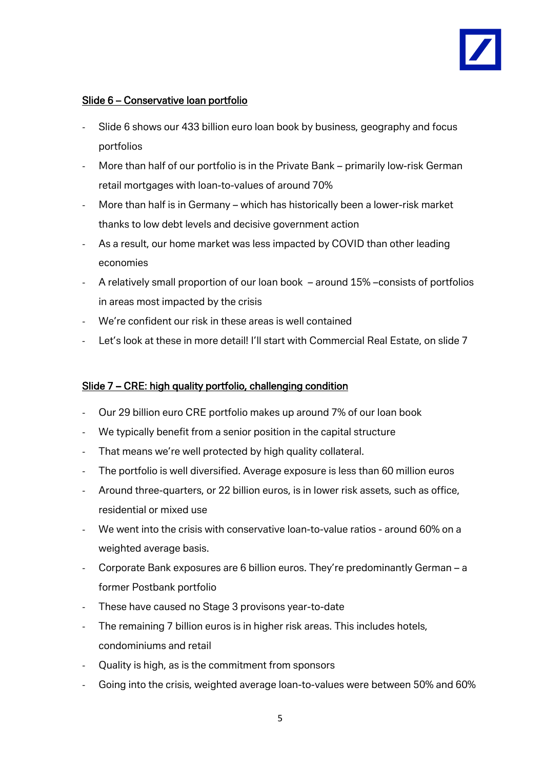

#### Slide 6 – Conservative loan portfolio

- Slide 6 shows our 433 billion euro loan book by business, geography and focus portfolios
- More than half of our portfolio is in the Private Bank primarily low-risk German retail mortgages with loan-to-values of around 70%
- More than half is in Germany which has historically been a lower-risk market thanks to low debt levels and decisive government action
- As a result, our home market was less impacted by COVID than other leading economies
- A relatively small proportion of our loan book around 15% –consists of portfolios in areas most impacted by the crisis
- We're confident our risk in these areas is well contained
- Let's look at these in more detail! I'll start with Commercial Real Estate, on slide 7

#### Slide 7 – CRE: high quality portfolio, challenging condition

- Our 29 billion euro CRE portfolio makes up around 7% of our loan book
- We typically benefit from a senior position in the capital structure
- That means we're well protected by high quality collateral.
- The portfolio is well diversified. Average exposure is less than 60 million euros
- Around three-quarters, or 22 billion euros, is in lower risk assets, such as office, residential or mixed use
- We went into the crisis with conservative loan-to-value ratios around 60% on a weighted average basis.
- Corporate Bank exposures are 6 billion euros. They're predominantly German a former Postbank portfolio
- These have caused no Stage 3 provisons year-to-date
- The remaining 7 billion euros is in higher risk areas. This includes hotels, condominiums and retail
- Quality is high, as is the commitment from sponsors
- Going into the crisis, weighted average loan-to-values were between 50% and 60%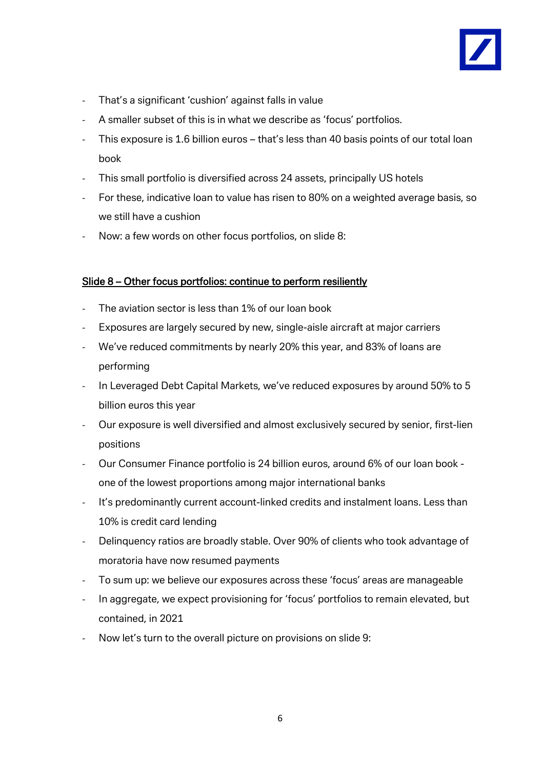

- That's a significant 'cushion' against falls in value
- A smaller subset of this is in what we describe as 'focus' portfolios.
- This exposure is 1.6 billion euros that's less than 40 basis points of our total loan book
- This small portfolio is diversified across 24 assets, principally US hotels
- For these, indicative loan to value has risen to 80% on a weighted average basis, so we still have a cushion
- Now: a few words on other focus portfolios, on slide 8:

#### Slide 8 – Other focus portfolios: continue to perform resiliently

- The aviation sector is less than 1% of our loan book
- Exposures are largely secured by new, single-aisle aircraft at major carriers
- We've reduced commitments by nearly 20% this year, and 83% of loans are performing
- In Leveraged Debt Capital Markets, we've reduced exposures by around 50% to 5 billion euros this year
- Our exposure is well diversified and almost exclusively secured by senior, first-lien positions
- Our Consumer Finance portfolio is 24 billion euros, around 6% of our loan book one of the lowest proportions among major international banks
- It's predominantly current account-linked credits and instalment loans. Less than 10% is credit card lending
- Delinquency ratios are broadly stable. Over 90% of clients who took advantage of moratoria have now resumed payments
- To sum up: we believe our exposures across these 'focus' areas are manageable
- In aggregate, we expect provisioning for 'focus' portfolios to remain elevated, but contained, in 2021
- Now let's turn to the overall picture on provisions on slide 9: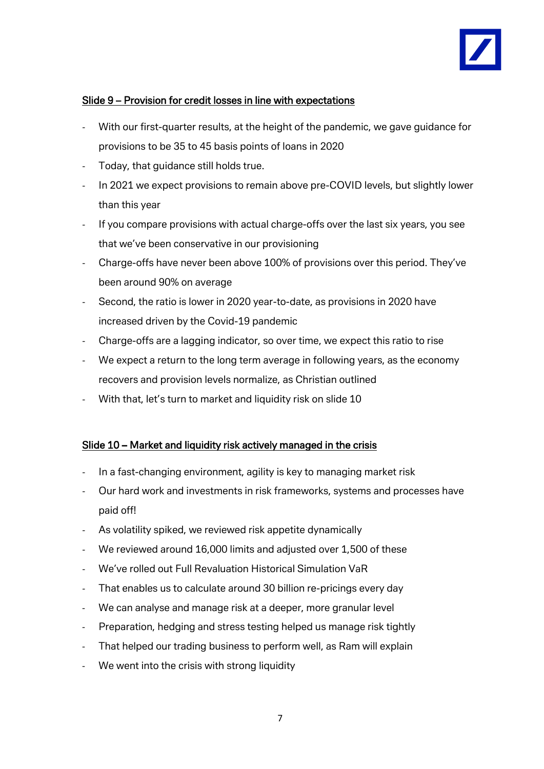

#### Slide 9 – Provision for credit losses in line with expectations

- With our first-quarter results, at the height of the pandemic, we gave guidance for provisions to be 35 to 45 basis points of loans in 2020
- Today, that quidance still holds true.
- In 2021 we expect provisions to remain above pre-COVID levels, but slightly lower than this year
- If you compare provisions with actual charge-offs over the last six years, you see that we've been conservative in our provisioning
- Charge-offs have never been above 100% of provisions over this period. They've been around 90% on average
- Second, the ratio is lower in 2020 year-to-date, as provisions in 2020 have increased driven by the Covid-19 pandemic
- Charge-offs are a lagging indicator, so over time, we expect this ratio to rise
- We expect a return to the long term average in following years, as the economy recovers and provision levels normalize, as Christian outlined
- With that, let's turn to market and liquidity risk on slide 10

#### Slide 10 – Market and liquidity risk actively managed in the crisis

- In a fast-changing environment, agility is key to managing market risk
- Our hard work and investments in risk frameworks, systems and processes have paid off!
- As volatility spiked, we reviewed risk appetite dynamically
- We reviewed around 16,000 limits and adjusted over 1,500 of these
- We've rolled out Full Revaluation Historical Simulation VaR
- That enables us to calculate around 30 billion re-pricings every day
- We can analyse and manage risk at a deeper, more granular level
- Preparation, hedging and stress testing helped us manage risk tightly
- That helped our trading business to perform well, as Ram will explain
- We went into the crisis with strong liquidity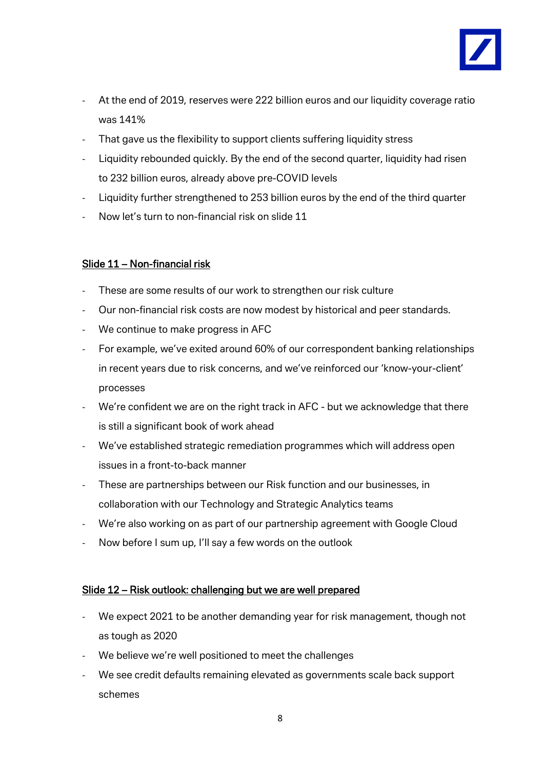

- At the end of 2019, reserves were 222 billion euros and our liquidity coverage ratio was 141%
- That gave us the flexibility to support clients suffering liquidity stress
- Liquidity rebounded quickly. By the end of the second quarter, liquidity had risen to 232 billion euros, already above pre-COVID levels
- Liquidity further strengthened to 253 billion euros by the end of the third quarter
- Now let's turn to non-financial risk on slide 11

### Slide 11 – Non-financial risk

- These are some results of our work to strengthen our risk culture
- Our non-financial risk costs are now modest by historical and peer standards.
- We continue to make progress in AFC
- For example, we've exited around 60% of our correspondent banking relationships in recent years due to risk concerns, and we've reinforced our 'know-your-client' processes
- We're confident we are on the right track in AFC but we acknowledge that there is still a significant book of work ahead
- We've established strategic remediation programmes which will address open issues in a front-to-back manner
- These are partnerships between our Risk function and our businesses, in collaboration with our Technology and Strategic Analytics teams
- We're also working on as part of our partnership agreement with Google Cloud
- Now before I sum up, I'll say a few words on the outlook

#### Slide 12 – Risk outlook: challenging but we are well prepared

- We expect 2021 to be another demanding year for risk management, though not as tough as 2020
- We believe we're well positioned to meet the challenges
- We see credit defaults remaining elevated as governments scale back support schemes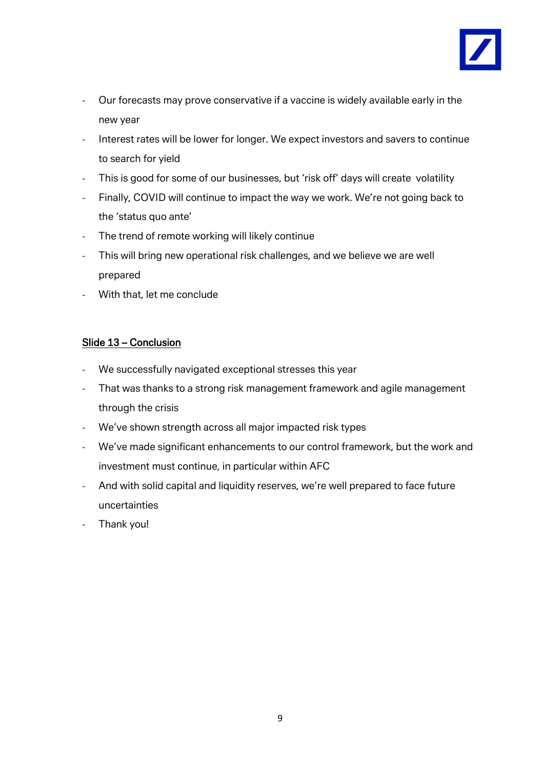

- Our forecasts may prove conservative if a vaccine is widely available early in the new year
- Interest rates will be lower for longer. We expect investors and savers to continue to search for yield
- This is good for some of our businesses, but 'risk off' days will create volatility
- Finally, COVID will continue to impact the way we work. We're not going back to the 'status quo ante'
- The trend of remote working will likely continue
- This will bring new operational risk challenges, and we believe we are well prepared
- With that, let me conclude

#### Slide 13 – Conclusion

- We successfully navigated exceptional stresses this year
- That was thanks to a strong risk management framework and agile management through the crisis
- We've shown strength across all major impacted risk types
- We've made significant enhancements to our control framework, but the work and investment must continue, in particular within AFC
- And with solid capital and liquidity reserves, we're well prepared to face future uncertainties
- Thank you!